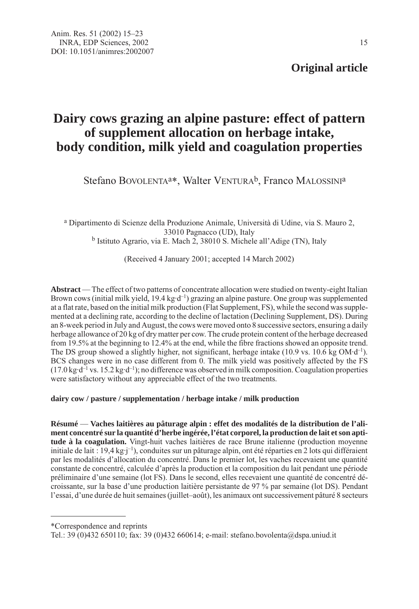# **Original article**

# **Dairy cows grazing an alpine pasture: effect of pattern of supplement allocation on herbage intake, body condition, milk yield and coagulation properties**

Stefano BOVOLENTA<sup>a\*</sup>, Walter VENTURA<sup>b</sup>, Franco MALOSSINI<sup>a</sup>

<sup>a</sup> Dipartimento di Scienze della Produzione Animale, Università di Udine, via S. Mauro 2, 33010 Pagnacco (UD), Italy <sup>b</sup> Istituto Agrario, via E. Mach 2, 38010 S. Michele all'Adige (TN), Italy

(Received 4 January 2001; accepted 14 March 2002)

**Abstract** — The effect of two patterns of concentrate allocation were studied on twenty-eight Italian Brown cows (initial milk yield, 19.4 kg·d<sup>-1</sup>) grazing an alpine pasture. One group was supplemented at a flat rate, based on the initial milk production (Flat Supplement, FS), while the second was supplemented at a declining rate, according to the decline of lactation (Declining Supplement, DS). During an 8-week period in July and August, the cows were moved onto 8 successive sectors, ensuring a daily herbage allowance of 20 kg of dry matter per cow. The crude protein content of the herbage decreased from 19.5% at the beginning to 12.4% at the end, while the fibre fractions showed an opposite trend. The DS group showed a slightly higher, not significant, herbage intake (10.9 vs.  $10.6 \text{ kg OM-d}^{-1}$ ). BCS changes were in no case different from 0. The milk yield was positively affected by the FS  $(17.0 \text{ kg} \cdot d^{-1} \text{ vs. } 15.2 \text{ kg} \cdot d^{-1})$ ; no difference was observed in milk composition. Coagulation properties were satisfactory without any appreciable effect of the two treatments.

**dairy cow / pasture / supplementation / herbage intake / milk production**

**Résumé** — **Vaches laitières au pâturage alpin : effet des modalités de la distribution de l'aliment concentré sur la quantité d'herbe ingérée, l'état corporel, la production de lait et son aptitude à la coagulation.** Vingt-huit vaches laitières de race Brune italienne (production moyenne initiale de lait : 19,4 kg·j–1), conduites sur un pâturage alpin, ont été réparties en 2 lots qui différaient par les modalités d'allocation du concentré. Dans le premier lot, les vaches recevaient une quantité constante de concentré, calculée d'après la production et la composition du lait pendant une période préliminaire d'une semaine (lot FS). Dans le second, elles recevaient une quantité de concentré décroissante, sur la base d'une production laitière persistante de 97 % par semaine (lot DS). Pendant l'essai, d'une durée de huit semaines (juillet–août), les animaux ont successivement pâturé 8 secteurs

<sup>\*</sup>Correspondence and reprints

Tel.: 39 (0)432 650110; fax: 39 (0)432 660614; e-mail: stefano.bovolenta@dspa.uniud.it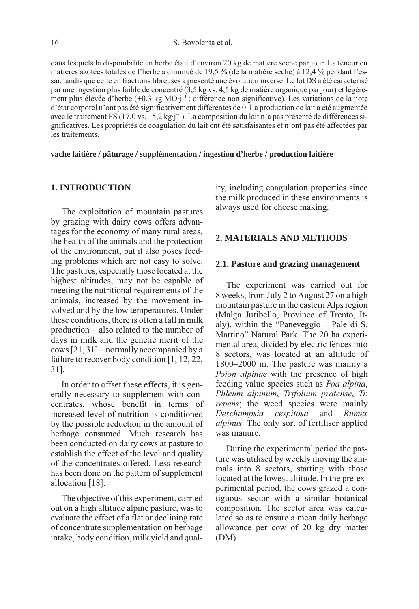dans lesquels la disponibilité en herbe était d'environ 20 kg de matière sèche par jour. La teneur en matières azotées totales de l'herbe a diminué de 19,5 % (de la matière sèche) à 12,4 % pendant l'essai, tandis que celle en fractions fibreuses a présenté une évolution inverse. Le lot DS a été caractérisé par une ingestion plus faible de concentré (3,5 kg vs. 4,5 kg de matière organique par jour) et légèrement plus élevée d'herbe (+0,3 kg MO·j<sup>-1</sup>; différence non significative). Les variations de la note d'état corporel n'ont pas été significativement différentes de 0. La production de lait a été augmentée avec le traitement FS (17,0 vs. 15,2 kg·j–1). La composition du lait n'a pas présenté de différences significatives. Les propriétés de coagulation du lait ont été satisfaisantes et n'ont pas été affectées par les traitements.

#### **vache laitière / pâturage / supplémentation / ingestion d'herbe / production laitière**

# **1. INTRODUCTION**

The exploitation of mountain pastures by grazing with dairy cows offers advantages for the economy of many rural areas, the health of the animals and the protection of the environment, but it also poses feeding problems which are not easy to solve. The pastures, especially those located at the highest altitudes, may not be capable of meeting the nutritional requirements of the animals, increased by the movement involved and by the low temperatures. Under these conditions, there is often a fall in milk production – also related to the number of days in milk and the genetic merit of the cows [21, 31] – normally accompanied by a failure to recover body condition [1, 12, 22, 31].

In order to offset these effects, it is generally necessary to supplement with concentrates, whose benefit in terms of increased level of nutrition is conditioned by the possible reduction in the amount of herbage consumed. Much research has been conducted on dairy cows at pasture to establish the effect of the level and quality of the concentrates offered. Less research has been done on the pattern of supplement allocation [18].

The objective of this experiment, carried out on a high altitude alpine pasture, was to evaluate the effect of a flat or declining rate of concentrate supplementation on herbage intake, body condition, milk yield and quality, including coagulation properties since the milk produced in these environments is always used for cheese making.

#### **2. MATERIALS AND METHODS**

#### **2.1. Pasture and grazing management**

The experiment was carried out for 8 weeks, from July 2 to August 27 on a high mountain pasture in the eastern Alps region (Malga Juribello, Province of Trento, Italy), within the "Paneveggio – Pale di S. Martino" Natural Park. The 20 ha experimental area, divided by electric fences into 8 sectors, was located at an altitude of 1800–2000 m. The pasture was mainly a Poion alpinae with the presence of high feeding value species such as Poa alpina, Phleum alpinum, Trifolium pratense, Tr. repens; the weed species were mainly Deschampsia cespitosa and Rumex alpinus. The only sort of fertiliser applied was manure.

During the experimental period the pasture was utilised by weekly moving the animals into 8 sectors, starting with those located at the lowest altitude. In the pre-experimental period, the cows grazed a contiguous sector with a similar botanical composition. The sector area was calculated so as to ensure a mean daily herbage allowance per cow of 20 kg dry matter (DM).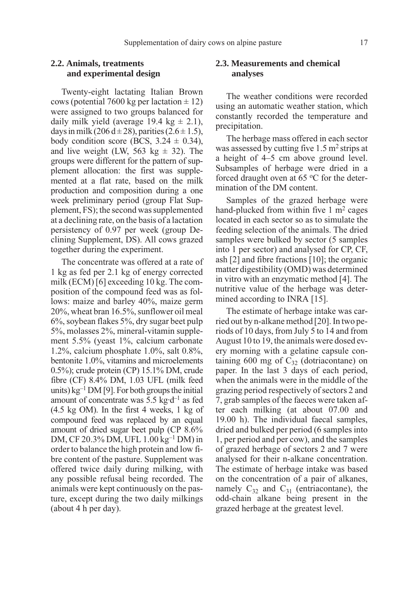# **2.2. Animals, treatments and experimental design**

Twenty-eight lactating Italian Brown cows (potential 7600 kg per lactation  $\pm$  12) were assigned to two groups balanced for daily milk yield (average 19.4 kg  $\pm$  2.1), days in milk (206 d  $\pm$  28), parities (2.6  $\pm$  1.5), body condition score (BCS,  $3.24 \pm 0.34$ ), and live weight (LW, 563 kg  $\pm$  32). The groups were different for the pattern of supplement allocation: the first was supplemented at a flat rate, based on the milk production and composition during a one week preliminary period (group Flat Supplement, FS); the second was supplemented at a declining rate, on the basis of a lactation persistency of 0.97 per week (group Declining Supplement, DS). All cows grazed together during the experiment.

The concentrate was offered at a rate of 1 kg as fed per 2.1 kg of energy corrected milk (ECM) [6] exceeding 10 kg. The composition of the compound feed was as follows: maize and barley 40%, maize germ 20%, wheat bran 16.5%, sunflower oil meal 6%, soybean flakes 5%, dry sugar beet pulp 5%, molasses 2%, mineral-vitamin supplement 5.5% (yeast 1%, calcium carbonate 1.2%, calcium phosphate 1.0%, salt 0.8%, bentonite 1.0%, vitamins and microelements 0.5%); crude protein (CP) 15.1% DM, crude fibre (CF) 8.4% DM, 1.03 UFL (milk feed units)  $kg^{-1}$  DM [9]. For both groups the initial amount of concentrate was 5.5 kg $\cdot d^{-1}$  as fed (4.5 kg OM). In the first 4 weeks, 1 kg of compound feed was replaced by an equal amount of dried sugar beet pulp (CP 8.6% DM, CF 20.3% DM, UFL 1.00 kg–1 DM) in order to balance the high protein and low fibre content of the pasture. Supplement was offered twice daily during milking, with any possible refusal being recorded. The animals were kept continuously on the pasture, except during the two daily milkings (about 4 h per day).

# **2.3. Measurements and chemical analyses**

The weather conditions were recorded using an automatic weather station, which constantly recorded the temperature and precipitation.

The herbage mass offered in each sector was assessed by cutting five  $1.5 \text{ m}^2$  strips at a height of 4–5 cm above ground level. Subsamples of herbage were dried in a forced draught oven at 65  $\degree$ C for the determination of the DM content.

Samples of the grazed herbage were hand-plucked from within five  $1 \text{ m}^2$  cages located in each sector so as to simulate the feeding selection of the animals. The dried samples were bulked by sector (5 samples into 1 per sector) and analysed for CP, CF, ash [2] and fibre fractions [10]; the organic matter digestibility (OMD) was determined in vitro with an enzymatic method [4]. The nutritive value of the herbage was determined according to INRA [15].

The estimate of herbage intake was carried out by n-alkane method [20]. In two periods of 10 days, from July 5 to 14 and from August 10 to 19, the animals were dosed every morning with a gelatine capsule containing 600 mg of  $C_{32}$  (dotriacontane) on paper. In the last 3 days of each period, when the animals were in the middle of the grazing period respectively of sectors 2 and 7, grab samples of the faeces were taken after each milking (at about 07.00 and 19.00 h). The individual faecal samples, dried and bulked per period (6 samples into 1, per period and per cow), and the samples of grazed herbage of sectors 2 and 7 were analysed for their n-alkane concentration. The estimate of herbage intake was based on the concentration of a pair of alkanes, namely  $C_{32}$  and  $C_{31}$  (entriacontane), the odd-chain alkane being present in the grazed herbage at the greatest level.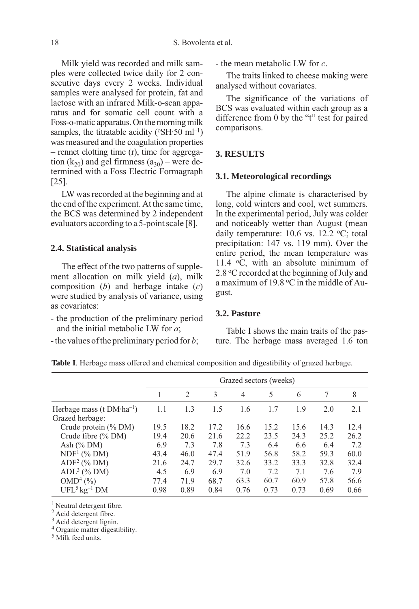Milk yield was recorded and milk samples were collected twice daily for 2 consecutive days every 2 weeks. Individual samples were analysed for protein, fat and lactose with an infrared Milk-o-scan apparatus and for somatic cell count with a Foss-o-matic apparatus. On the morning milk samples, the titratable acidity ( $^{\circ}$ SH $\cdot$ 50 ml<sup>-1</sup>) was measured and the coagulation properties – rennet clotting time (r), time for aggregation  $(k_{20})$  and gel firmness  $(a_{30})$  – were determined with a Foss Electric Formagraph [25].

LW was recorded at the beginning and at the end of the experiment. At the same time, the BCS was determined by 2 independent evaluators according to a 5-point scale [8].

#### **2.4. Statistical analysis**

The effect of the two patterns of supplement allocation on milk yield (a), milk composition  $(b)$  and herbage intake  $(c)$ were studied by analysis of variance, using as covariates:

- the production of the preliminary period and the initial metabolic LW for a;
- the values of the preliminary period for b;

- the mean metabolic LW for c.

The traits linked to cheese making were analysed without covariates.

The significance of the variations of BCS was evaluated within each group as a difference from 0 by the "t" test for paired comparisons.

#### **3. RESULTS**

#### **3.1. Meteorological recordings**

The alpine climate is characterised by long, cold winters and cool, wet summers. In the experimental period, July was colder and noticeably wetter than August (mean daily temperature:  $10.6$  vs.  $12.2$  °C; total precipitation: 147 vs. 119 mm). Over the entire period, the mean temperature was 11.4  $\degree$ C, with an absolute minimum of 2.8 °C recorded at the beginning of July and a maximum of 19.8 °C in the middle of August.

# **3.2. Pasture**

Table I shows the main traits of the pasture. The herbage mass averaged 1.6 ton

| Table I. Herbage mass offered and chemical composition and digestibility of grazed herbage. |  |  |  |
|---------------------------------------------------------------------------------------------|--|--|--|
|                                                                                             |  |  |  |

|                                | Grazed sectors (weeks) |      |      |      |      |      |      |      |
|--------------------------------|------------------------|------|------|------|------|------|------|------|
|                                |                        | 2    | 3    | 4    | 5    | 6    | 7    | 8    |
| Herbage mass (t $DM·ha^{-1}$ ) | 1.1                    | 1.3  | 1.5  | 1.6  | 1.7  | 1.9  | 2.0  | 2.1  |
| Grazed herbage:                |                        |      |      |      |      |      |      |      |
| Crude protein $(\%$ DM)        | 19.5                   | 18.2 | 17.2 | 16.6 | 15.2 | 15.6 | 14.3 | 12.4 |
| Crude fibre (% DM)             | 19.4                   | 20.6 | 21.6 | 22.2 | 23.5 | 24.3 | 25.2 | 26.2 |
| Ash $(\%$ DM)                  | 6.9                    | 7.3  | 7.8  | 7.3  | 6.4  | 6.6  | 6.4  | 7.2  |
| $NDF1$ (% DM)                  | 43.4                   | 46.0 | 47.4 | 51.9 | 56.8 | 58.2 | 59.3 | 60.0 |
| $ADF2$ (% DM)                  | 21.6                   | 24.7 | 29.7 | 32.6 | 33.2 | 33.3 | 32.8 | 32.4 |
| $ADL3$ (% DM)                  | 4.5                    | 6.9  | 6.9  | 7.0  | 7.2  | 7.1  | 7.6  | 7.9  |
| OMD <sup>4</sup> (%)           | 77.4                   | 71.9 | 68.7 | 63.3 | 60.7 | 60.9 | 57.8 | 56.6 |
| $UFL5$ kg <sup>-1</sup> DM     | 0.98                   | 0.89 | 0.84 | 0.76 | 0.73 | 0.73 | 0.69 | 0.66 |

 $<sup>1</sup>$  Neutral detergent fibre.</sup>

<sup>2</sup> Acid detergent fibre.

<sup>3</sup> Acid detergent lignin.

<sup>4</sup> Organic matter digestibility.

<sup>5</sup> Milk feed units.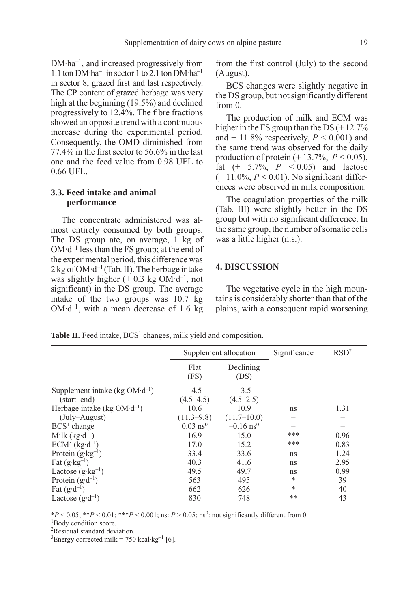DM·ha–1, and increased progressively from 1.1 ton DM·ha<sup>-1</sup> in sector  $\overline{1}$  to  $\overline{2}$ .1 ton DM·ha<sup>-1</sup> in sector 8, grazed first and last respectively. The CP content of grazed herbage was very high at the beginning (19.5%) and declined progressively to 12.4%. The fibre fractions showed an opposite trend with a continuous increase during the experimental period. Consequently, the OMD diminished from 77.4% in the first sector to 56.6% in the last one and the feed value from 0.98 UFL to 0.66 UFL.

# **3.3. Feed intake and animal performance**

The concentrate administered was almost entirely consumed by both groups. The DS group ate, on average, 1 kg of  $OM \cdot d^{-1}$  less than the FS group; at the end of the experimental period, this difference was 2 kg of OM·d<sup>-1</sup> (Tab. II). The herbage intake was slightly higher (+ 0.3 kg  $OM·d^{-1}$ , not significant) in the DS group. The average intake of the two groups was 10.7 kg  $OM·d^{-1}$ , with a mean decrease of 1.6 kg from the first control (July) to the second (August).

BCS changes were slightly negative in the DS group, but not significantly different from 0.

The production of milk and ECM was higher in the FS group than the DS (+12.7% and  $+$  11.8% respectively,  $P < 0.001$ ) and the same trend was observed for the daily production of protein  $(+ 13.7\%, P < 0.05)$ , fat  $(+ 5.7\%, P < 0.05)$  and lactose  $(+ 11.0\%, P < 0.01)$ . No significant differences were observed in milk composition.

The coagulation properties of the milk (Tab. III) were slightly better in the DS group but with no significant difference. In the same group, the number of somatic cells was a little higher (n.s.).

#### **4. DISCUSSION**

The vegetative cycle in the high mountains is considerably shorter than that of the plains, with a consequent rapid worsening

**Table II.** Feed intake, BCS<sup>1</sup> changes, milk yield and composition.

|                                           | Supplement allocation |                         | RSD <sup>2</sup><br>Significance |      |
|-------------------------------------------|-----------------------|-------------------------|----------------------------------|------|
|                                           | Flat<br>(FS)          | Declining<br>(DS)       |                                  |      |
| Supplement intake (kg $OM \cdot d^{-1}$ ) | 4.5                   | 3.5                     |                                  |      |
| (start-end)                               | $(4.5-4.5)$           | $(4.5 - 2.5)$           |                                  |      |
| Herbage intake (kg $OM \cdot d^{-1}$ )    | 10.6                  | 10.9                    | ns                               | 1.31 |
| (July–August)                             | $(11.3 - 9.8)$        | $(11.7 - 10.0)$         |                                  |      |
| BCS <sup>1</sup> change                   | $0.03 \text{ ns}^0$   | $-0.16$ ns <sup>0</sup> |                                  |      |
| Milk $(kg \cdot d^{-1})$                  | 16.9                  | 15.0                    | ***                              | 0.96 |
| $ECM^3$ (kg·d <sup>-1</sup> )             | 17.0                  | 15.2                    | ***                              | 0.83 |
| Protein $(g \cdot kg^{-1})$               | 33.4                  | 33.6                    | ns                               | 1.24 |
| Fat $(g \cdot kg^{-1})$                   | 40.3                  | 41.6                    | ns                               | 2.95 |
| Lactose $(g \cdot kg^{-1})$               | 49.5                  | 49.7                    | ns                               | 0.99 |
| Protein $(g \cdot d^{-1})$                | 563                   | 495                     | *                                | 39   |
| Fat $(g \cdot d^{-1})$                    | 662                   | 626                     | *                                | 40   |
| Lactose $(g \cdot d^{-1})$                | 830                   | 748                     | **                               | 43   |

\*P < 0.05; \*\*P < 0.01; \*\*\*P < 0.001; ns: P > 0.05; ns<sup>0</sup>: not significantly different from 0. <sup>1</sup>Body condition score.

2Residual standard deviation.

<sup>3</sup>Energy corrected milk = 750 kcal·kg<sup>-1</sup> [6].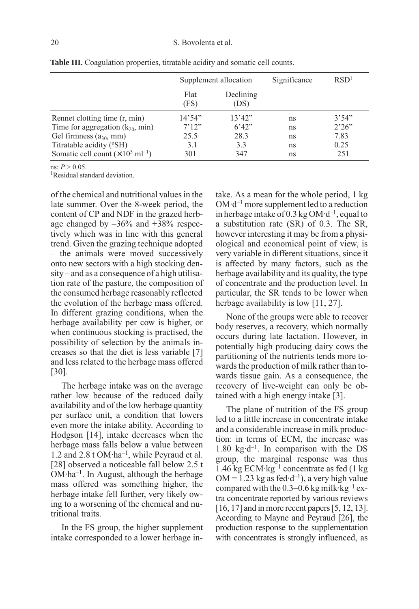|                                                    |              | Supplement allocation | Significance | RSD <sup>1</sup> |
|----------------------------------------------------|--------------|-----------------------|--------------|------------------|
|                                                    | Flat<br>(FS) | Declining<br>(DS)     |              |                  |
| Rennet clotting time (r, min)                      | 14'54"       | 13'42"                | ns           | 3'54"            |
| Time for aggregation $(k_{20}, \text{min})$        | 7'12''       | 6'42"                 | ns           | 2'26''           |
| Gel firmness $(a_{30}, \text{mm})$                 | 25.5         | 28.3                  | ns           | 7.83             |
| Titratable acidity (°SH)                           | 3.1          | 3.3                   | ns           | 0.25             |
| Somatic cell count $(\times 10^3 \text{ ml}^{-1})$ | 301          | 347                   | ns           | 251              |

Table III. Coagulation properties, titratable acidity and somatic cell counts.

ns:  $P > 0.05$ .<br><sup>1</sup>Residual standard deviation.

of the chemical and nutritional values in the late summer. Over the 8-week period, the content of CP and NDF in the grazed herbage changed by –36% and +38% respectively which was in line with this general trend. Given the grazing technique adopted – the animals were moved successively onto new sectors with a high stocking density – and as a consequence of a high utilisation rate of the pasture, the composition of the consumed herbage reasonably reflected the evolution of the herbage mass offered. In different grazing conditions, when the herbage availability per cow is higher, or when continuous stocking is practised, the possibility of selection by the animals increases so that the diet is less variable [7] and less related to the herbage mass offered [30].

The herbage intake was on the average rather low because of the reduced daily availability and of the low herbage quantity per surface unit, a condition that lowers even more the intake ability. According to Hodgson [14], intake decreases when the herbage mass falls below a value between 1.2 and 2.8 t OM·ha–1, while Peyraud et al. [28] observed a noticeable fall below 2.5 t  $OM·ha^{-1}$ . In August, although the herbage mass offered was something higher, the herbage intake fell further, very likely owing to a worsening of the chemical and nutritional traits.

In the FS group, the higher supplement intake corresponded to a lower herbage intake. As a mean for the whole period, 1 kg  $OM \cdot d^{-1}$  more supplement led to a reduction in herbage intake of 0.3 kg  $OM \cdot d^{-1}$ , equal to a substitution rate (SR) of 0.3. The SR, however interesting it may be from a physiological and economical point of view, is very variable in different situations, since it is affected by many factors, such as the herbage availability and its quality, the type of concentrate and the production level. In particular, the SR tends to be lower when herbage availability is low [11, 27].

None of the groups were able to recover body reserves, a recovery, which normally occurs during late lactation. However, in potentially high producing dairy cows the partitioning of the nutrients tends more towards the production of milk rather than towards tissue gain. As a consequence, the recovery of live-weight can only be obtained with a high energy intake [3].

The plane of nutrition of the FS group led to a little increase in concentrate intake and a considerable increase in milk production: in terms of ECM, the increase was 1.80 kg·d<sup>-1</sup>. In comparison with the DS group, the marginal response was thus 1.46 kg ECM·kg–1 concentrate as fed (1 kg OM =  $1.23$  kg as fed·d<sup>-1</sup>), a very high value compared with the  $0.3-0.6$  kg milk·kg<sup>-1</sup> extra concentrate reported by various reviews [16, 17] and in more recent papers [5, 12, 13]. According to Mayne and Peyraud [26], the production response to the supplementation with concentrates is strongly influenced, as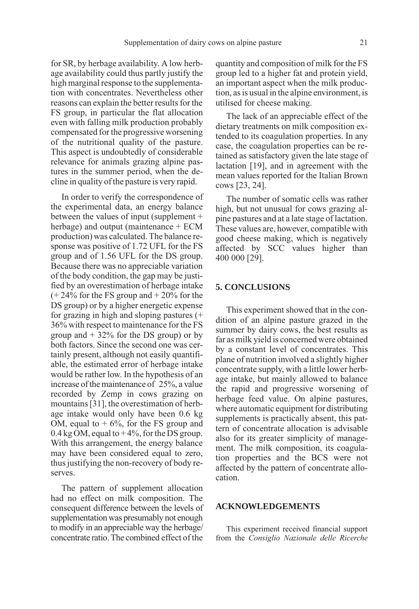for SR, by herbage availability. A low herbage availability could thus partly justify the high marginal response to the supplementation with concentrates. Nevertheless other reasons can explain the better results for the FS group, in particular the flat allocation even with falling milk production probably compensated for the progressive worsening of the nutritional quality of the pasture. This aspect is undoubtedly of considerable relevance for animals grazing alpine pastures in the summer period, when the decline in quality of the pasture is very rapid.

In order to verify the correspondence of the experimental data, an energy balance between the values of input (supplement + herbage) and output (maintenance + ECM production) was calculated. The balance response was positive of 1.72 UFL for the FS group and of 1.56 UFL for the DS group. Because there was no appreciable variation of the body condition, the gap may be justified by an overestimation of herbage intake  $(+ 24\%$  for the FS group and  $+ 20\%$  for the DS group) or by a higher energetic expense for grazing in high and sloping pastures (+ 36% with respect to maintenance for the FS group and  $+$  32% for the DS group) or by both factors. Since the second one was certainly present, although not easily quantifiable, the estimated error of herbage intake would be rather low. In the hypothesis of an increase of the maintenance of 25%, a value recorded by Zemp in cows grazing on mountains [31], the overestimation of herbage intake would only have been 0.6 kg OM, equal to  $+ 6\%$ , for the FS group and  $0.4 \text{ kg OM}$ , equal to  $+4\%$ , for the DS group. With this arrangement, the energy balance may have been considered equal to zero, thus justifying the non-recovery of body reserves.

The pattern of supplement allocation had no effect on milk composition. The consequent difference between the levels of supplementation was presumably not enough to modify in an appreciable way the herbage/ concentrate ratio. The combined effect of the

quantity and composition of milk for the FS group led to a higher fat and protein yield, an important aspect when the milk production, as is usual in the alpine environment, is utilised for cheese making.

The lack of an appreciable effect of the dietary treatments on milk composition extended to its coagulation properties. In any case, the coagulation properties can be retained as satisfactory given the late stage of lactation [19], and in agreement with the mean values reported for the Italian Brown cows [23, 24].

The number of somatic cells was rather high, but not unusual for cows grazing alpine pastures and at a late stage of lactation. These values are, however, compatible with good cheese making, which is negatively affected by SCC values higher than 400 000 [29].

# **5. CONCLUSIONS**

This experiment showed that in the condition of an alpine pasture grazed in the summer by dairy cows, the best results as far as milk yield is concerned were obtained by a constant level of concentrates. This plane of nutrition involved a slightly higher concentrate supply, with a little lower herbage intake, but mainly allowed to balance the rapid and progressive worsening of herbage feed value. On alpine pastures, where automatic equipment for distributing supplements is practically absent, this pattern of concentrate allocation is advisable also for its greater simplicity of management. The milk composition, its coagulation properties and the BCS were not affected by the pattern of concentrate allocation.

# **ACKNOWLEDGEMENTS**

This experiment received financial support from the Consiglio Nazionale delle Ricerche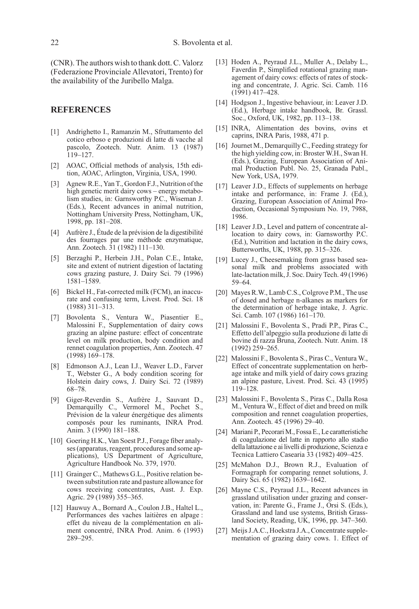(CNR). The authors wish to thank dott. C. Valorz (Federazione Provinciale Allevatori, Trento) for the availability of the Juribello Malga.

#### **REFERENCES**

- [1] Andrighetto I., Ramanzin M., Sfruttamento del cotico erboso e produzioni di latte di vacche al pascolo, Zootech. Nutr. Anim. 13 (1987) 119–127.
- [2] AOAC, Official methods of analysis, 15th edition, AOAC, Arlington, Virginia, USA, 1990.
- [3] Agnew R.E., Yan T., Gordon F.J., Nutrition of the high genetic merit dairy cows – energy metabolism studies, in: Garnsworthy P.C., Wiseman J. (Eds.), Recent advances in animal nutrition, Nottingham University Press, Nottingham, UK, 1998, pp. 181–208.
- [4] Aufrère J., Étude de la prévision de la digestibilité des fourrages par une méthode enzymatique, Ann. Zootech. 31 (1982) 111–130.
- [5] Berzaghi P., Herbein J.H., Polan C.E., Intake, site and extent of nutrient digestion of lactating cows grazing pasture, J. Dairy Sci. 79 (1996) 1581–1589.
- [6] Bickel H., Fat-corrected milk (FCM), an inaccurate and confusing term, Livest. Prod. Sci. 18 (1988) 311–313.
- [7] Bovolenta S., Ventura W., Piasentier E., Malossini F., Supplementation of dairy cows grazing an alpine pasture: effect of concentrate level on milk production, body condition and rennet coagulation properties, Ann. Zootech. 47 (1998) 169–178.
- [8] Edmonson A.J., Lean I.J., Weaver L.D., Farver T., Webster G., A body condition scoring for Holstein dairy cows, J. Dairy Sci. 72 (1989) 68–78.
- [9] Giger-Reverdin S., Aufrère J., Sauvant D., Demarquilly C., Vermorel M., Pochet S., Prévision de la valeur énergétique des aliments composés pour les ruminants, INRA Prod. Anim. 3 (1990) 181–188.
- [10] Goering H.K., Van Soest P.J., Forage fiber analyses (apparatus, reagent, procedures and some applications), US Department of Agriculture, Agriculture Handbook No. 379, 1970.
- [11] Grainger C., Mathews G.L., Positive relation between substitution rate and pasture allowance for cows receiving concentrates, Aust. J. Exp. Agric. 29 (1989) 355–365.
- [12] Hauwuy A., Bornard A., Coulon J.B., Haltel L., Performances des vaches laitières en alpage : effet du niveau de la complémentation en aliment concentré, INRA Prod. Anim. 6 (1993) 289–295.
- [13] Hoden A., Peyraud J.L., Muller A., Delaby L., Faverdin P., Simplified rotational grazing management of dairy cows: effects of rates of stocking and concentrate, J. Agric. Sci. Camb. 116 (1991) 417–428.
- [14] Hodgson J., Ingestive behaviour, in: Leaver J.D. (Ed.), Herbage intake handbook, Br. Grassl. Soc., Oxford, UK, 1982, pp. 113–138.
- [15] INRA, Alimentation des bovins, ovins et caprins, INRA Paris, 1988, 471 p.
- [16] Journet M., Demarquilly C., Feeding strategy for the high yielding cow, in: Broster W.H., Swan H. (Eds.), Grazing, European Association of Animal Production Publ. No. 25, Granada Publ., New York, USA, 1979.
- [17] Leaver J.D., Effects of supplements on herbage intake and performance, in: Frame J. (Ed.), Grazing, European Association of Animal Production, Occasional Symposium No. 19, 7988, 1986.
- [18] Leaver J.D., Level and pattern of concentrate allocation to dairy cows, in: Garnsworthy P.C. (Ed.), Nutrition and lactation in the dairy cows, Butterworths, UK, 1988, pp. 315–326.
- [19] Lucey J., Cheesemaking from grass based seasonal milk and problems associated with late-lactation milk, J. Soc. Dairy Tech. 49 (1996) 59–64.
- [20] Mayes R.W., Lamb C.S., Colgrove P.M., The use of dosed and herbage n-alkanes as markers for the determination of herbage intake, J. Agric. Sci. Camb. 107 (1986) 161–170.
- [21] Malossini F., Bovolenta S., Pradi P.P., Piras C., Effetto dell'alpeggio sulla produzione di latte di bovine di razza Bruna, Zootech. Nutr. Anim. 18 (1992) 259–265.
- [22] Malossini F., Bovolenta S., Piras C., Ventura W., Effect of concentrate supplementation on herbage intake and milk yield of dairy cows grazing an alpine pasture, Livest. Prod. Sci. 43 (1995) 119–128.
- [23] Malossini F., Bovolenta S., Piras C., Dalla Rosa M., Ventura W., Effect of diet and breed on milk composition and rennet coagulation properties, Ann. Zootech. 45 (1996) 29–40.
- [24] Mariani P., Pecorari M., Fossa E., Le caratteristiche di coagulazione del latte in rapporto allo stadio della lattazione e ai livelli di produzione, Scienza e Tecnica Lattiero Casearia 33 (1982) 409–425.
- [25] McMahon D.J., Brown R.J., Evaluation of Formagraph for comparing rennet solutions, J. Dairy Sci. 65 (1982) 1639–1642.
- [26] Mayne C.S., Peyraud J.L., Recent advances in grassland utilisation under grazing and conservation, in: Parente G., Frame J., Orsi S. (Eds.), Grassland and land use systems, British Grassland Society, Reading, UK, 1996, pp. 347–360.
- [27] Meijs J.A.C., Hoekstra J.A., Concentrate supplementation of grazing dairy cows. 1. Effect of